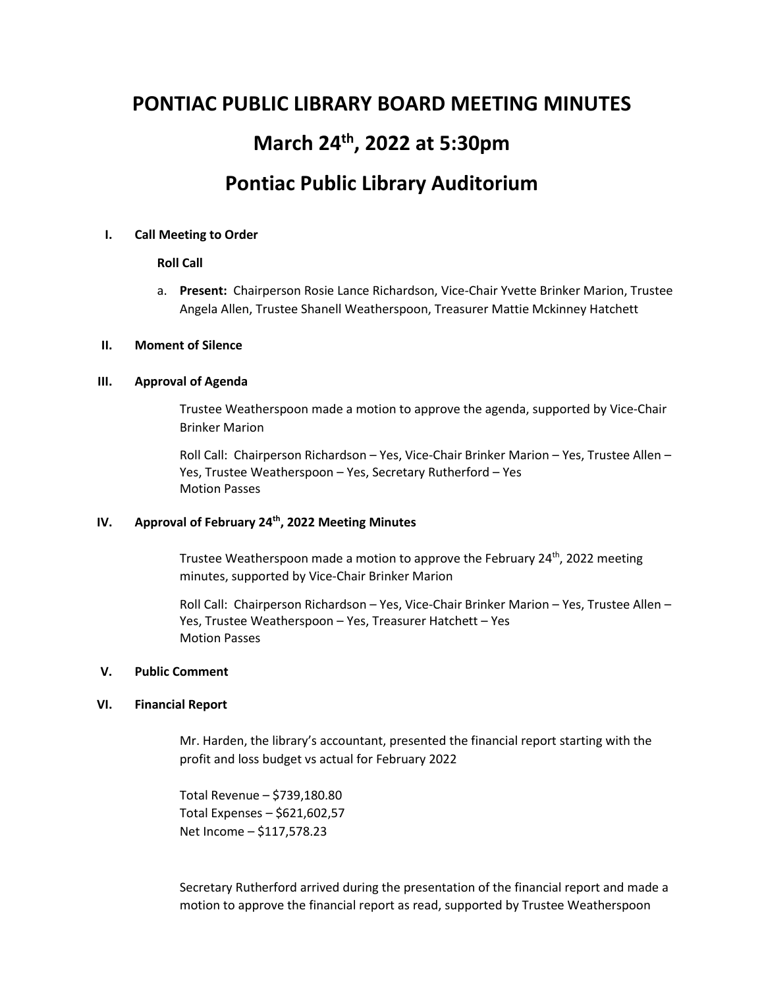# **PONTIAC PUBLIC LIBRARY BOARD MEETING MINUTES March 24th , 2022 at 5:30pm Pontiac Public Library Auditorium**

## **I. Call Meeting to Order**

## **Roll Call**

a. **Present:** Chairperson Rosie Lance Richardson, Vice-Chair Yvette Brinker Marion, Trustee Angela Allen, Trustee Shanell Weatherspoon, Treasurer Mattie Mckinney Hatchett

#### **II. Moment of Silence**

## **III. Approval of Agenda**

Trustee Weatherspoon made a motion to approve the agenda, supported by Vice-Chair Brinker Marion

Roll Call: Chairperson Richardson – Yes, Vice-Chair Brinker Marion – Yes, Trustee Allen – Yes, Trustee Weatherspoon – Yes, Secretary Rutherford – Yes Motion Passes

# **IV. Approval of February 24th, 2022 Meeting Minutes**

Trustee Weatherspoon made a motion to approve the February 24<sup>th</sup>, 2022 meeting minutes, supported by Vice-Chair Brinker Marion

Roll Call: Chairperson Richardson – Yes, Vice-Chair Brinker Marion – Yes, Trustee Allen – Yes, Trustee Weatherspoon – Yes, Treasurer Hatchett – Yes Motion Passes

# **V. Public Comment**

#### **VI. Financial Report**

Mr. Harden, the library's accountant, presented the financial report starting with the profit and loss budget vs actual for February 2022

Total Revenue – \$739,180.80 Total Expenses – \$621,602,57 Net Income – \$117,578.23

Secretary Rutherford arrived during the presentation of the financial report and made a motion to approve the financial report as read, supported by Trustee Weatherspoon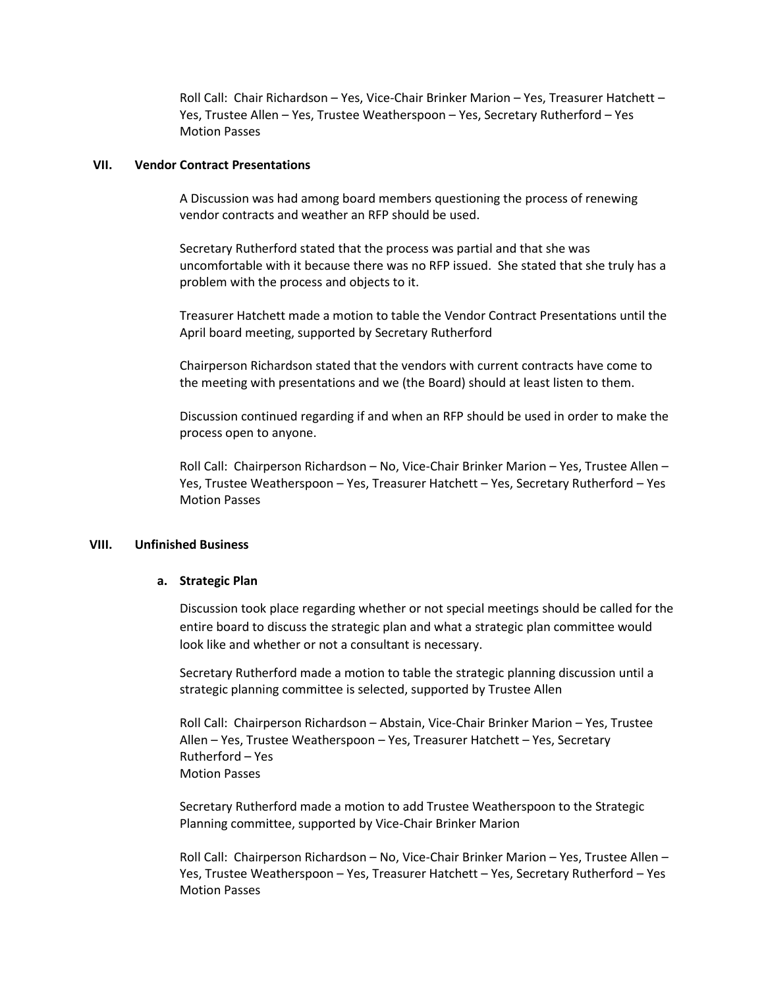Roll Call: Chair Richardson – Yes, Vice-Chair Brinker Marion – Yes, Treasurer Hatchett – Yes, Trustee Allen – Yes, Trustee Weatherspoon – Yes, Secretary Rutherford – Yes Motion Passes

#### **VII. Vendor Contract Presentations**

A Discussion was had among board members questioning the process of renewing vendor contracts and weather an RFP should be used.

Secretary Rutherford stated that the process was partial and that she was uncomfortable with it because there was no RFP issued. She stated that she truly has a problem with the process and objects to it.

Treasurer Hatchett made a motion to table the Vendor Contract Presentations until the April board meeting, supported by Secretary Rutherford

Chairperson Richardson stated that the vendors with current contracts have come to the meeting with presentations and we (the Board) should at least listen to them.

Discussion continued regarding if and when an RFP should be used in order to make the process open to anyone.

Roll Call: Chairperson Richardson – No, Vice-Chair Brinker Marion – Yes, Trustee Allen – Yes, Trustee Weatherspoon – Yes, Treasurer Hatchett – Yes, Secretary Rutherford – Yes Motion Passes

#### **VIII. Unfinished Business**

#### **a. Strategic Plan**

Discussion took place regarding whether or not special meetings should be called for the entire board to discuss the strategic plan and what a strategic plan committee would look like and whether or not a consultant is necessary.

Secretary Rutherford made a motion to table the strategic planning discussion until a strategic planning committee is selected, supported by Trustee Allen

Roll Call: Chairperson Richardson – Abstain, Vice-Chair Brinker Marion – Yes, Trustee Allen – Yes, Trustee Weatherspoon – Yes, Treasurer Hatchett – Yes, Secretary Rutherford – Yes Motion Passes

Secretary Rutherford made a motion to add Trustee Weatherspoon to the Strategic Planning committee, supported by Vice-Chair Brinker Marion

Roll Call: Chairperson Richardson – No, Vice-Chair Brinker Marion – Yes, Trustee Allen – Yes, Trustee Weatherspoon – Yes, Treasurer Hatchett – Yes, Secretary Rutherford – Yes Motion Passes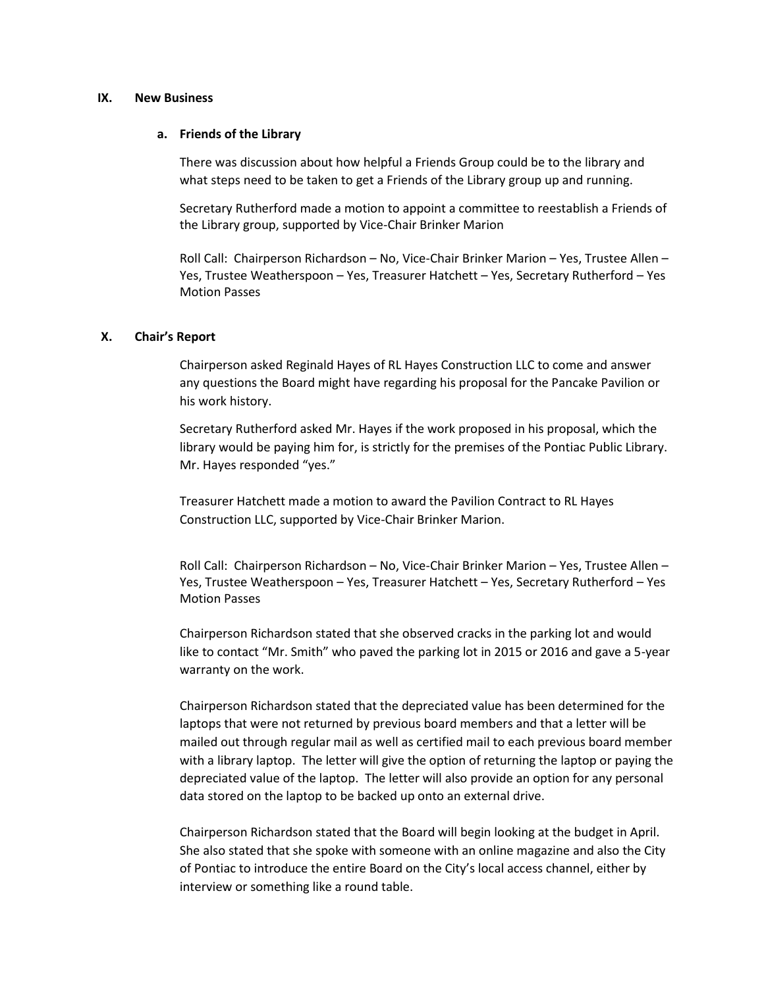#### **IX. New Business**

#### **a. Friends of the Library**

There was discussion about how helpful a Friends Group could be to the library and what steps need to be taken to get a Friends of the Library group up and running.

Secretary Rutherford made a motion to appoint a committee to reestablish a Friends of the Library group, supported by Vice-Chair Brinker Marion

Roll Call: Chairperson Richardson – No, Vice-Chair Brinker Marion – Yes, Trustee Allen – Yes, Trustee Weatherspoon – Yes, Treasurer Hatchett – Yes, Secretary Rutherford – Yes Motion Passes

#### **X. Chair's Report**

Chairperson asked Reginald Hayes of RL Hayes Construction LLC to come and answer any questions the Board might have regarding his proposal for the Pancake Pavilion or his work history.

Secretary Rutherford asked Mr. Hayes if the work proposed in his proposal, which the library would be paying him for, is strictly for the premises of the Pontiac Public Library. Mr. Hayes responded "yes."

Treasurer Hatchett made a motion to award the Pavilion Contract to RL Hayes Construction LLC, supported by Vice-Chair Brinker Marion.

Roll Call: Chairperson Richardson – No, Vice-Chair Brinker Marion – Yes, Trustee Allen – Yes, Trustee Weatherspoon – Yes, Treasurer Hatchett – Yes, Secretary Rutherford – Yes Motion Passes

Chairperson Richardson stated that she observed cracks in the parking lot and would like to contact "Mr. Smith" who paved the parking lot in 2015 or 2016 and gave a 5-year warranty on the work.

Chairperson Richardson stated that the depreciated value has been determined for the laptops that were not returned by previous board members and that a letter will be mailed out through regular mail as well as certified mail to each previous board member with a library laptop. The letter will give the option of returning the laptop or paying the depreciated value of the laptop. The letter will also provide an option for any personal data stored on the laptop to be backed up onto an external drive.

Chairperson Richardson stated that the Board will begin looking at the budget in April. She also stated that she spoke with someone with an online magazine and also the City of Pontiac to introduce the entire Board on the City's local access channel, either by interview or something like a round table.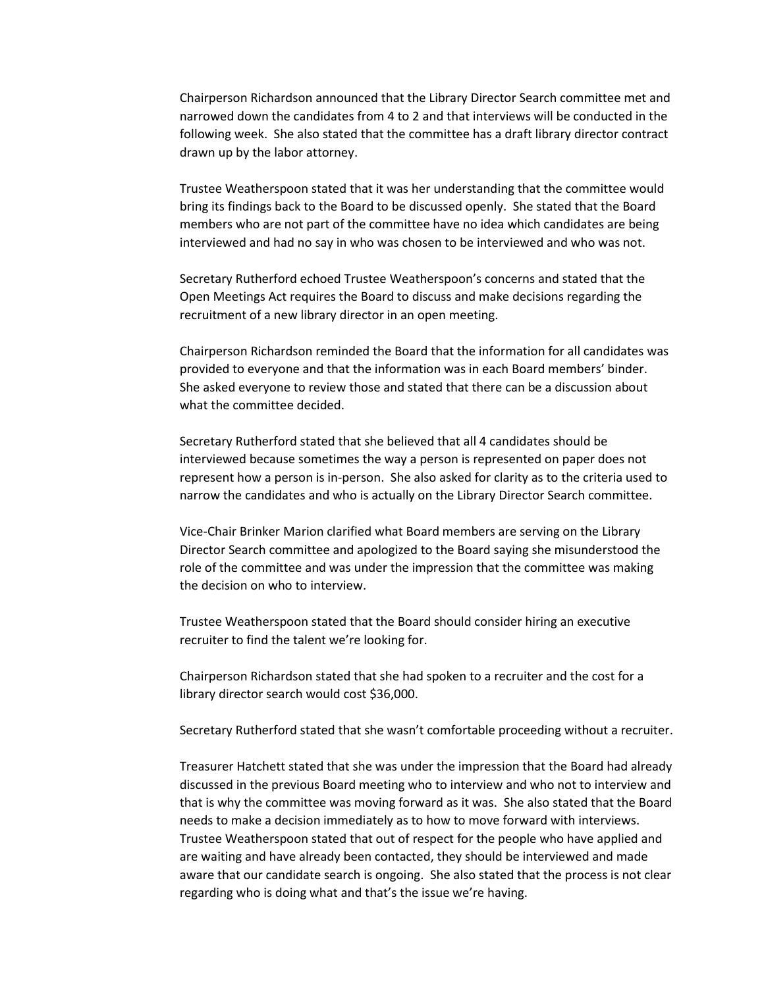Chairperson Richardson announced that the Library Director Search committee met and narrowed down the candidates from 4 to 2 and that interviews will be conducted in the following week. She also stated that the committee has a draft library director contract drawn up by the labor attorney.

Trustee Weatherspoon stated that it was her understanding that the committee would bring its findings back to the Board to be discussed openly. She stated that the Board members who are not part of the committee have no idea which candidates are being interviewed and had no say in who was chosen to be interviewed and who was not.

Secretary Rutherford echoed Trustee Weatherspoon's concerns and stated that the Open Meetings Act requires the Board to discuss and make decisions regarding the recruitment of a new library director in an open meeting.

Chairperson Richardson reminded the Board that the information for all candidates was provided to everyone and that the information was in each Board members' binder. She asked everyone to review those and stated that there can be a discussion about what the committee decided.

Secretary Rutherford stated that she believed that all 4 candidates should be interviewed because sometimes the way a person is represented on paper does not represent how a person is in-person. She also asked for clarity as to the criteria used to narrow the candidates and who is actually on the Library Director Search committee.

Vice-Chair Brinker Marion clarified what Board members are serving on the Library Director Search committee and apologized to the Board saying she misunderstood the role of the committee and was under the impression that the committee was making the decision on who to interview.

Trustee Weatherspoon stated that the Board should consider hiring an executive recruiter to find the talent we're looking for.

Chairperson Richardson stated that she had spoken to a recruiter and the cost for a library director search would cost \$36,000.

Secretary Rutherford stated that she wasn't comfortable proceeding without a recruiter.

Treasurer Hatchett stated that she was under the impression that the Board had already discussed in the previous Board meeting who to interview and who not to interview and that is why the committee was moving forward as it was. She also stated that the Board needs to make a decision immediately as to how to move forward with interviews. Trustee Weatherspoon stated that out of respect for the people who have applied and are waiting and have already been contacted, they should be interviewed and made aware that our candidate search is ongoing. She also stated that the process is not clear regarding who is doing what and that's the issue we're having.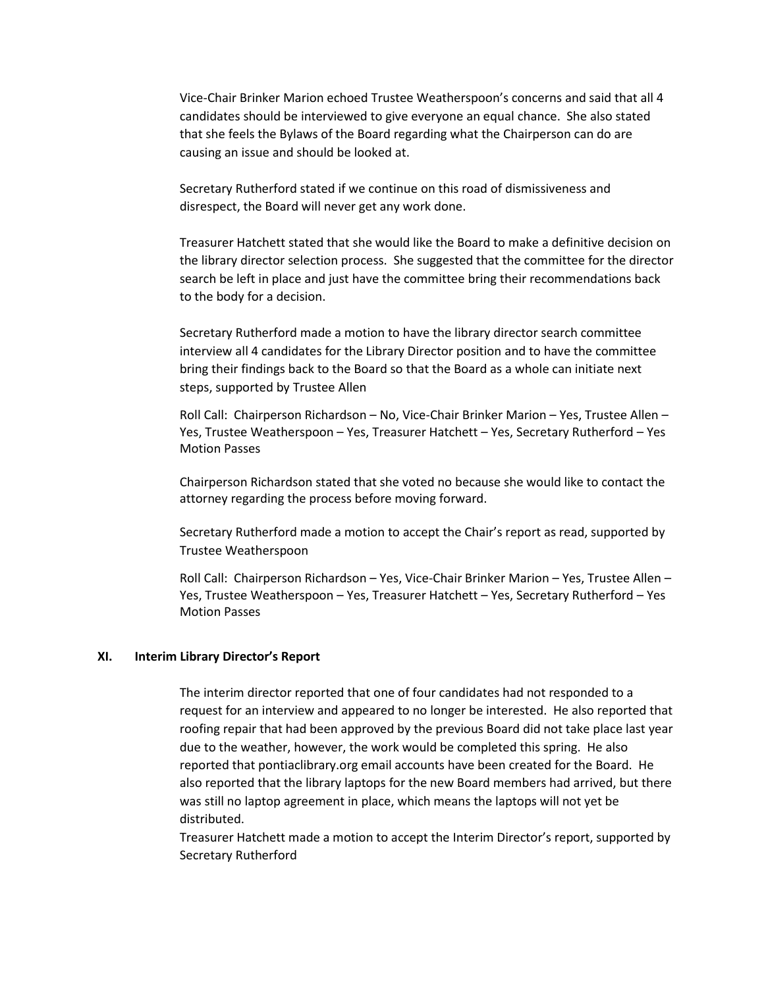Vice-Chair Brinker Marion echoed Trustee Weatherspoon's concerns and said that all 4 candidates should be interviewed to give everyone an equal chance. She also stated that she feels the Bylaws of the Board regarding what the Chairperson can do are causing an issue and should be looked at.

Secretary Rutherford stated if we continue on this road of dismissiveness and disrespect, the Board will never get any work done.

Treasurer Hatchett stated that she would like the Board to make a definitive decision on the library director selection process. She suggested that the committee for the director search be left in place and just have the committee bring their recommendations back to the body for a decision.

Secretary Rutherford made a motion to have the library director search committee interview all 4 candidates for the Library Director position and to have the committee bring their findings back to the Board so that the Board as a whole can initiate next steps, supported by Trustee Allen

Roll Call: Chairperson Richardson – No, Vice-Chair Brinker Marion – Yes, Trustee Allen – Yes, Trustee Weatherspoon – Yes, Treasurer Hatchett – Yes, Secretary Rutherford – Yes Motion Passes

Chairperson Richardson stated that she voted no because she would like to contact the attorney regarding the process before moving forward.

Secretary Rutherford made a motion to accept the Chair's report as read, supported by Trustee Weatherspoon

Roll Call: Chairperson Richardson – Yes, Vice-Chair Brinker Marion – Yes, Trustee Allen – Yes, Trustee Weatherspoon – Yes, Treasurer Hatchett – Yes, Secretary Rutherford – Yes Motion Passes

#### **XI. Interim Library Director's Report**

The interim director reported that one of four candidates had not responded to a request for an interview and appeared to no longer be interested. He also reported that roofing repair that had been approved by the previous Board did not take place last year due to the weather, however, the work would be completed this spring. He also reported that pontiaclibrary.org email accounts have been created for the Board. He also reported that the library laptops for the new Board members had arrived, but there was still no laptop agreement in place, which means the laptops will not yet be distributed.

Treasurer Hatchett made a motion to accept the Interim Director's report, supported by Secretary Rutherford